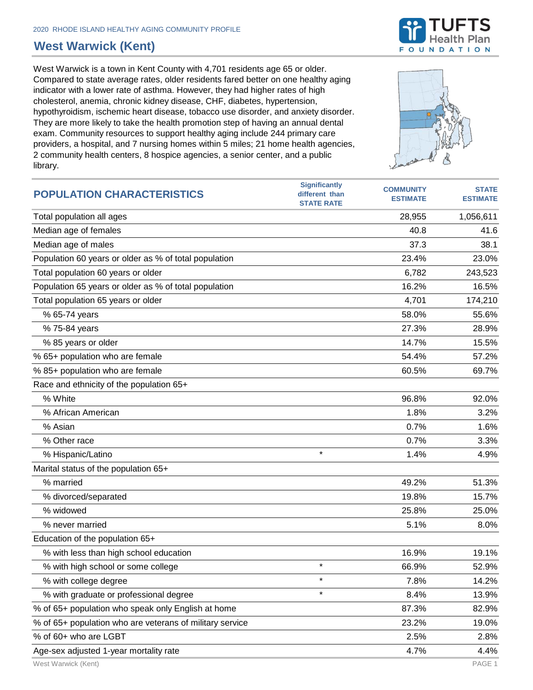## **West Warwick (Kent)**

West Warwick is a town in Kent County with 4,701 residents age 65 or older. Compared to state average rates, older residents fared better on one healthy aging indicator with a lower rate of asthma. However, they had higher rates of high cholesterol, anemia, chronic kidney disease, CHF, diabetes, hypertension, hypothyroidism, ischemic heart disease, tobacco use disorder, and anxiety disorder. They are more likely to take the health promotion step of having an annual dental exam. Community resources to support healthy aging include 244 primary care providers, a hospital, and 7 nursing homes within 5 miles; 21 home health agencies, 2 community health centers, 8 hospice agencies, a senior center, and a public library.





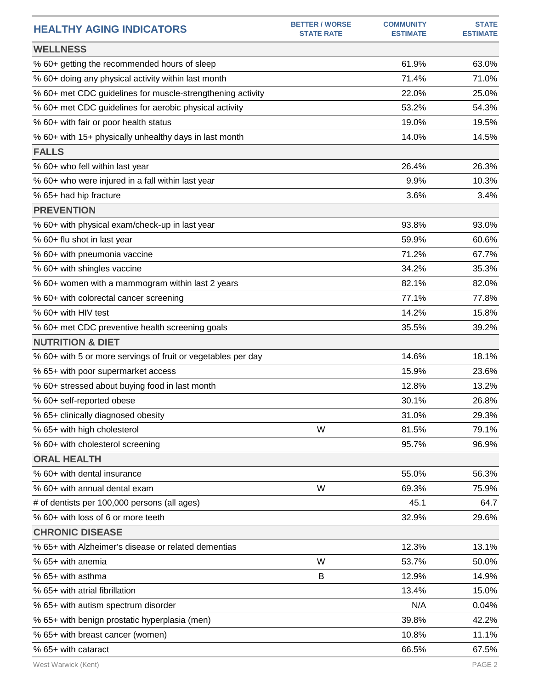| <b>HEALTHY AGING INDICATORS</b>                              | <b>BETTER / WORSE</b><br><b>STATE RATE</b> | <b>COMMUNITY</b><br><b>ESTIMATE</b> | <b>STATE</b><br><b>ESTIMATE</b> |
|--------------------------------------------------------------|--------------------------------------------|-------------------------------------|---------------------------------|
| <b>WELLNESS</b>                                              |                                            |                                     |                                 |
| % 60+ getting the recommended hours of sleep                 |                                            | 61.9%                               | 63.0%                           |
| % 60+ doing any physical activity within last month          |                                            | 71.4%                               | 71.0%                           |
| % 60+ met CDC guidelines for muscle-strengthening activity   |                                            | 22.0%                               | 25.0%                           |
| % 60+ met CDC guidelines for aerobic physical activity       |                                            | 53.2%                               | 54.3%                           |
| % 60+ with fair or poor health status                        |                                            | 19.0%                               | 19.5%                           |
| % 60+ with 15+ physically unhealthy days in last month       |                                            | 14.0%                               | 14.5%                           |
| <b>FALLS</b>                                                 |                                            |                                     |                                 |
| % 60+ who fell within last year                              |                                            | 26.4%                               | 26.3%                           |
| % 60+ who were injured in a fall within last year            |                                            | 9.9%                                | 10.3%                           |
| % 65+ had hip fracture                                       |                                            | 3.6%                                | 3.4%                            |
| <b>PREVENTION</b>                                            |                                            |                                     |                                 |
| % 60+ with physical exam/check-up in last year               |                                            | 93.8%                               | 93.0%                           |
| % 60+ flu shot in last year                                  |                                            | 59.9%                               | 60.6%                           |
| % 60+ with pneumonia vaccine                                 |                                            | 71.2%                               | 67.7%                           |
| % 60+ with shingles vaccine                                  |                                            | 34.2%                               | 35.3%                           |
| % 60+ women with a mammogram within last 2 years             |                                            | 82.1%                               | 82.0%                           |
| % 60+ with colorectal cancer screening                       |                                            | 77.1%                               | 77.8%                           |
| % 60+ with HIV test                                          |                                            | 14.2%                               | 15.8%                           |
| % 60+ met CDC preventive health screening goals              |                                            | 35.5%                               | 39.2%                           |
| <b>NUTRITION &amp; DIET</b>                                  |                                            |                                     |                                 |
| % 60+ with 5 or more servings of fruit or vegetables per day |                                            | 14.6%                               | 18.1%                           |
| % 65+ with poor supermarket access                           |                                            | 15.9%                               | 23.6%                           |
| % 60+ stressed about buying food in last month               |                                            | 12.8%                               | 13.2%                           |
| % 60+ self-reported obese                                    |                                            | 30.1%                               | 26.8%                           |
| % 65+ clinically diagnosed obesity                           |                                            | 31.0%                               | 29.3%                           |
| % 65+ with high cholesterol                                  | W                                          | 81.5%                               | 79.1%                           |
| % 60+ with cholesterol screening                             |                                            | 95.7%                               | 96.9%                           |
| <b>ORAL HEALTH</b>                                           |                                            |                                     |                                 |
| % 60+ with dental insurance                                  |                                            | 55.0%                               | 56.3%                           |
| % 60+ with annual dental exam                                | W                                          | 69.3%                               | 75.9%                           |
| # of dentists per 100,000 persons (all ages)                 |                                            | 45.1                                | 64.7                            |
| % 60+ with loss of 6 or more teeth                           |                                            | 32.9%                               | 29.6%                           |
| <b>CHRONIC DISEASE</b>                                       |                                            |                                     |                                 |
| % 65+ with Alzheimer's disease or related dementias          |                                            | 12.3%                               | 13.1%                           |
| % 65+ with anemia                                            | W                                          | 53.7%                               | 50.0%                           |
| % 65+ with asthma                                            | B                                          | 12.9%                               | 14.9%                           |
| % 65+ with atrial fibrillation                               |                                            | 13.4%                               | 15.0%                           |
| % 65+ with autism spectrum disorder                          |                                            | N/A                                 | 0.04%                           |
| % 65+ with benign prostatic hyperplasia (men)                |                                            | 39.8%                               | 42.2%                           |
| % 65+ with breast cancer (women)                             |                                            | 10.8%                               | 11.1%                           |
| % 65+ with cataract                                          |                                            | 66.5%                               | 67.5%                           |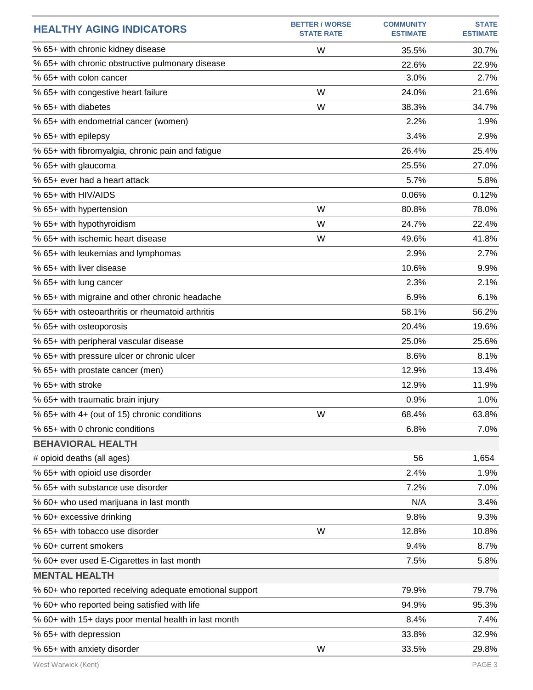| <b>HEALTHY AGING INDICATORS</b>                         | <b>BETTER / WORSE</b><br><b>STATE RATE</b> | <b>COMMUNITY</b><br><b>ESTIMATE</b> | <b>STATE</b><br><b>ESTIMATE</b> |
|---------------------------------------------------------|--------------------------------------------|-------------------------------------|---------------------------------|
| % 65+ with chronic kidney disease                       | W                                          | 35.5%                               | 30.7%                           |
| % 65+ with chronic obstructive pulmonary disease        |                                            | 22.6%                               | 22.9%                           |
| % 65+ with colon cancer                                 |                                            | 3.0%                                | 2.7%                            |
| % 65+ with congestive heart failure                     | W                                          | 24.0%                               | 21.6%                           |
| % 65+ with diabetes                                     | W                                          | 38.3%                               | 34.7%                           |
| % 65+ with endometrial cancer (women)                   |                                            | 2.2%                                | 1.9%                            |
| % 65+ with epilepsy                                     |                                            | 3.4%                                | 2.9%                            |
| % 65+ with fibromyalgia, chronic pain and fatigue       |                                            | 26.4%                               | 25.4%                           |
| % 65+ with glaucoma                                     |                                            | 25.5%                               | 27.0%                           |
| % 65+ ever had a heart attack                           |                                            | 5.7%                                | 5.8%                            |
| % 65+ with HIV/AIDS                                     |                                            | 0.06%                               | 0.12%                           |
| % 65+ with hypertension                                 | W                                          | 80.8%                               | 78.0%                           |
| % 65+ with hypothyroidism                               | W                                          | 24.7%                               | 22.4%                           |
| % 65+ with ischemic heart disease                       | W                                          | 49.6%                               | 41.8%                           |
| % 65+ with leukemias and lymphomas                      |                                            | 2.9%                                | 2.7%                            |
| % 65+ with liver disease                                |                                            | 10.6%                               | 9.9%                            |
| % 65+ with lung cancer                                  |                                            | 2.3%                                | 2.1%                            |
| % 65+ with migraine and other chronic headache          |                                            | 6.9%                                | 6.1%                            |
| % 65+ with osteoarthritis or rheumatoid arthritis       |                                            | 58.1%                               | 56.2%                           |
| % 65+ with osteoporosis                                 |                                            | 20.4%                               | 19.6%                           |
| % 65+ with peripheral vascular disease                  |                                            | 25.0%                               | 25.6%                           |
| % 65+ with pressure ulcer or chronic ulcer              |                                            | 8.6%                                | 8.1%                            |
| % 65+ with prostate cancer (men)                        |                                            | 12.9%                               | 13.4%                           |
| % 65+ with stroke                                       |                                            | 12.9%                               | 11.9%                           |
| % 65+ with traumatic brain injury                       |                                            | 0.9%                                | 1.0%                            |
| % 65+ with 4+ (out of 15) chronic conditions            | W                                          | 68.4%                               | 63.8%                           |
| % 65+ with 0 chronic conditions                         |                                            | 6.8%                                | 7.0%                            |
| <b>BEHAVIORAL HEALTH</b>                                |                                            |                                     |                                 |
| # opioid deaths (all ages)                              |                                            | 56                                  | 1,654                           |
| % 65+ with opioid use disorder                          |                                            | 2.4%                                | 1.9%                            |
| % 65+ with substance use disorder                       |                                            | 7.2%                                | 7.0%                            |
| % 60+ who used marijuana in last month                  |                                            | N/A                                 | 3.4%                            |
| % 60+ excessive drinking                                |                                            | 9.8%                                | 9.3%                            |
| % 65+ with tobacco use disorder                         | W                                          | 12.8%                               | 10.8%                           |
| % 60+ current smokers                                   |                                            | 9.4%                                | 8.7%                            |
| % 60+ ever used E-Cigarettes in last month              |                                            | 7.5%                                | 5.8%                            |
| <b>MENTAL HEALTH</b>                                    |                                            |                                     |                                 |
| % 60+ who reported receiving adequate emotional support |                                            | 79.9%                               | 79.7%                           |
| % 60+ who reported being satisfied with life            |                                            | 94.9%                               | 95.3%                           |
| % 60+ with 15+ days poor mental health in last month    |                                            | 8.4%                                | 7.4%                            |
| % 65+ with depression                                   |                                            | 33.8%                               | 32.9%                           |
| % 65+ with anxiety disorder                             | W                                          | 33.5%                               | 29.8%                           |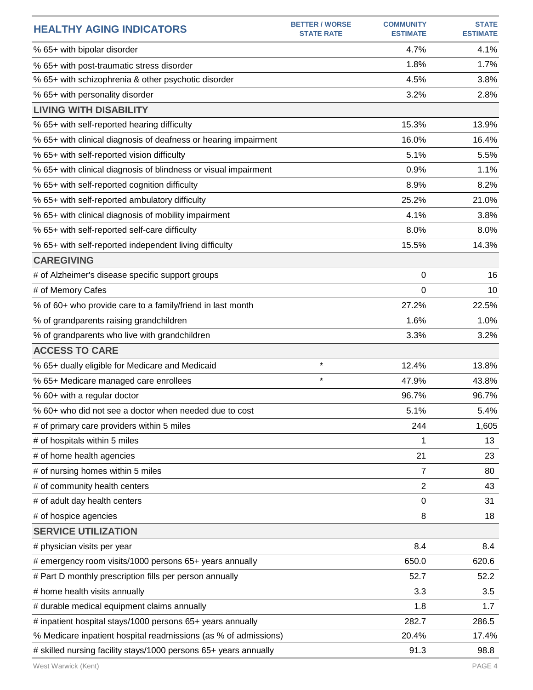| <b>HEALTHY AGING INDICATORS</b>                                  | <b>BETTER / WORSE</b><br><b>STATE RATE</b> | <b>COMMUNITY</b><br><b>ESTIMATE</b> | <b>STATE</b><br><b>ESTIMATE</b> |
|------------------------------------------------------------------|--------------------------------------------|-------------------------------------|---------------------------------|
| % 65+ with bipolar disorder                                      |                                            | 4.7%                                | 4.1%                            |
| % 65+ with post-traumatic stress disorder                        |                                            | 1.8%                                | 1.7%                            |
| % 65+ with schizophrenia & other psychotic disorder              |                                            | 4.5%                                | 3.8%                            |
| % 65+ with personality disorder                                  |                                            | 3.2%                                | 2.8%                            |
| <b>LIVING WITH DISABILITY</b>                                    |                                            |                                     |                                 |
| % 65+ with self-reported hearing difficulty                      |                                            | 15.3%                               | 13.9%                           |
| % 65+ with clinical diagnosis of deafness or hearing impairment  |                                            | 16.0%                               | 16.4%                           |
| % 65+ with self-reported vision difficulty                       |                                            | 5.1%                                | 5.5%                            |
| % 65+ with clinical diagnosis of blindness or visual impairment  |                                            | 0.9%                                | 1.1%                            |
| % 65+ with self-reported cognition difficulty                    |                                            | 8.9%                                | 8.2%                            |
| % 65+ with self-reported ambulatory difficulty                   |                                            | 25.2%                               | 21.0%                           |
| % 65+ with clinical diagnosis of mobility impairment             |                                            | 4.1%                                | 3.8%                            |
| % 65+ with self-reported self-care difficulty                    |                                            | 8.0%                                | 8.0%                            |
| % 65+ with self-reported independent living difficulty           |                                            | 15.5%                               | 14.3%                           |
| <b>CAREGIVING</b>                                                |                                            |                                     |                                 |
| # of Alzheimer's disease specific support groups                 |                                            | 0                                   | 16                              |
| # of Memory Cafes                                                |                                            | 0                                   | 10                              |
| % of 60+ who provide care to a family/friend in last month       |                                            | 27.2%                               | 22.5%                           |
| % of grandparents raising grandchildren                          |                                            | 1.6%                                | 1.0%                            |
| % of grandparents who live with grandchildren                    |                                            | 3.3%                                | 3.2%                            |
| <b>ACCESS TO CARE</b>                                            |                                            |                                     |                                 |
| % 65+ dually eligible for Medicare and Medicaid                  | $\star$                                    | 12.4%                               | 13.8%                           |
| % 65+ Medicare managed care enrollees                            | $\star$                                    | 47.9%                               | 43.8%                           |
| % 60+ with a regular doctor                                      |                                            | 96.7%                               | 96.7%                           |
| % 60+ who did not see a doctor when needed due to cost           |                                            | 5.1%                                | 5.4%                            |
| # of primary care providers within 5 miles                       |                                            | 244                                 | 1,605                           |
| # of hospitals within 5 miles                                    |                                            | 1                                   | 13                              |
| # of home health agencies                                        |                                            | 21                                  | 23                              |
| # of nursing homes within 5 miles                                |                                            | 7                                   | 80                              |
| # of community health centers                                    |                                            | 2                                   | 43                              |
| # of adult day health centers                                    |                                            | 0                                   | 31                              |
| # of hospice agencies                                            |                                            | 8                                   | 18                              |
| <b>SERVICE UTILIZATION</b>                                       |                                            |                                     |                                 |
| # physician visits per year                                      |                                            | 8.4                                 | 8.4                             |
| # emergency room visits/1000 persons 65+ years annually          |                                            | 650.0                               | 620.6                           |
| # Part D monthly prescription fills per person annually          |                                            | 52.7                                | 52.2                            |
| # home health visits annually                                    |                                            | 3.3                                 | 3.5                             |
| # durable medical equipment claims annually                      |                                            | 1.8                                 | 1.7                             |
| # inpatient hospital stays/1000 persons 65+ years annually       |                                            | 282.7                               | 286.5                           |
| % Medicare inpatient hospital readmissions (as % of admissions)  |                                            | 20.4%                               | 17.4%                           |
| # skilled nursing facility stays/1000 persons 65+ years annually |                                            | 91.3                                | 98.8                            |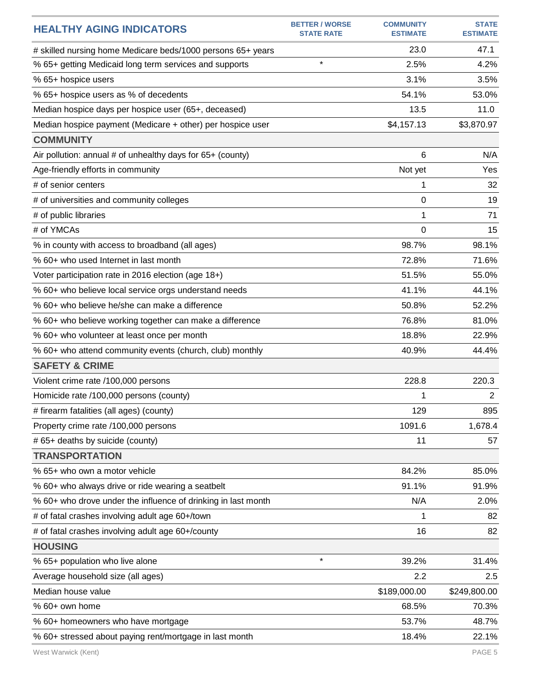| <b>HEALTHY AGING INDICATORS</b>                               | <b>BETTER / WORSE</b><br><b>STATE RATE</b> | <b>COMMUNITY</b><br><b>ESTIMATE</b> | <b>STATE</b><br><b>ESTIMATE</b> |
|---------------------------------------------------------------|--------------------------------------------|-------------------------------------|---------------------------------|
| # skilled nursing home Medicare beds/1000 persons 65+ years   |                                            | 23.0                                | 47.1                            |
| % 65+ getting Medicaid long term services and supports        | $\star$                                    | 2.5%                                | 4.2%                            |
| % 65+ hospice users                                           |                                            | 3.1%                                | 3.5%                            |
| % 65+ hospice users as % of decedents                         |                                            | 54.1%                               | 53.0%                           |
| Median hospice days per hospice user (65+, deceased)          |                                            | 13.5                                | 11.0                            |
| Median hospice payment (Medicare + other) per hospice user    |                                            | \$4,157.13                          | \$3,870.97                      |
| <b>COMMUNITY</b>                                              |                                            |                                     |                                 |
| Air pollution: annual # of unhealthy days for 65+ (county)    |                                            | 6                                   | N/A                             |
| Age-friendly efforts in community                             |                                            | Not yet                             | Yes                             |
| # of senior centers                                           |                                            | 1                                   | 32                              |
| # of universities and community colleges                      |                                            | 0                                   | 19                              |
| # of public libraries                                         |                                            | 1                                   | 71                              |
| # of YMCAs                                                    |                                            | $\Omega$                            | 15                              |
| % in county with access to broadband (all ages)               |                                            | 98.7%                               | 98.1%                           |
| % 60+ who used Internet in last month                         |                                            | 72.8%                               | 71.6%                           |
| Voter participation rate in 2016 election (age 18+)           |                                            | 51.5%                               | 55.0%                           |
| % 60+ who believe local service orgs understand needs         |                                            | 41.1%                               | 44.1%                           |
| % 60+ who believe he/she can make a difference                |                                            | 50.8%                               | 52.2%                           |
| % 60+ who believe working together can make a difference      |                                            | 76.8%                               | 81.0%                           |
| % 60+ who volunteer at least once per month                   |                                            | 18.8%                               | 22.9%                           |
| % 60+ who attend community events (church, club) monthly      |                                            | 40.9%                               | 44.4%                           |
| <b>SAFETY &amp; CRIME</b>                                     |                                            |                                     |                                 |
| Violent crime rate /100,000 persons                           |                                            | 228.8                               | 220.3                           |
| Homicide rate /100,000 persons (county)                       |                                            | 1                                   | $\mathbf{2}$                    |
| # firearm fatalities (all ages) (county)                      |                                            | 129                                 | 895                             |
| Property crime rate /100,000 persons                          |                                            | 1091.6                              | 1,678.4                         |
| # 65+ deaths by suicide (county)                              |                                            | 11                                  | 57                              |
| <b>TRANSPORTATION</b>                                         |                                            |                                     |                                 |
| % 65+ who own a motor vehicle                                 |                                            | 84.2%                               | 85.0%                           |
| % 60+ who always drive or ride wearing a seatbelt             |                                            | 91.1%                               | 91.9%                           |
| % 60+ who drove under the influence of drinking in last month |                                            | N/A                                 | 2.0%                            |
| # of fatal crashes involving adult age 60+/town               |                                            | 1                                   | 82                              |
| # of fatal crashes involving adult age 60+/county             |                                            | 16                                  | 82                              |
| <b>HOUSING</b>                                                |                                            |                                     |                                 |
| % 65+ population who live alone                               | $\star$                                    | 39.2%                               | 31.4%                           |
| Average household size (all ages)                             |                                            | 2.2                                 | 2.5                             |
| Median house value                                            |                                            | \$189,000.00                        | \$249,800.00                    |
| % 60+ own home                                                |                                            | 68.5%                               | 70.3%                           |
| % 60+ homeowners who have mortgage                            |                                            | 53.7%                               | 48.7%                           |
| % 60+ stressed about paying rent/mortgage in last month       |                                            | 18.4%                               | 22.1%                           |